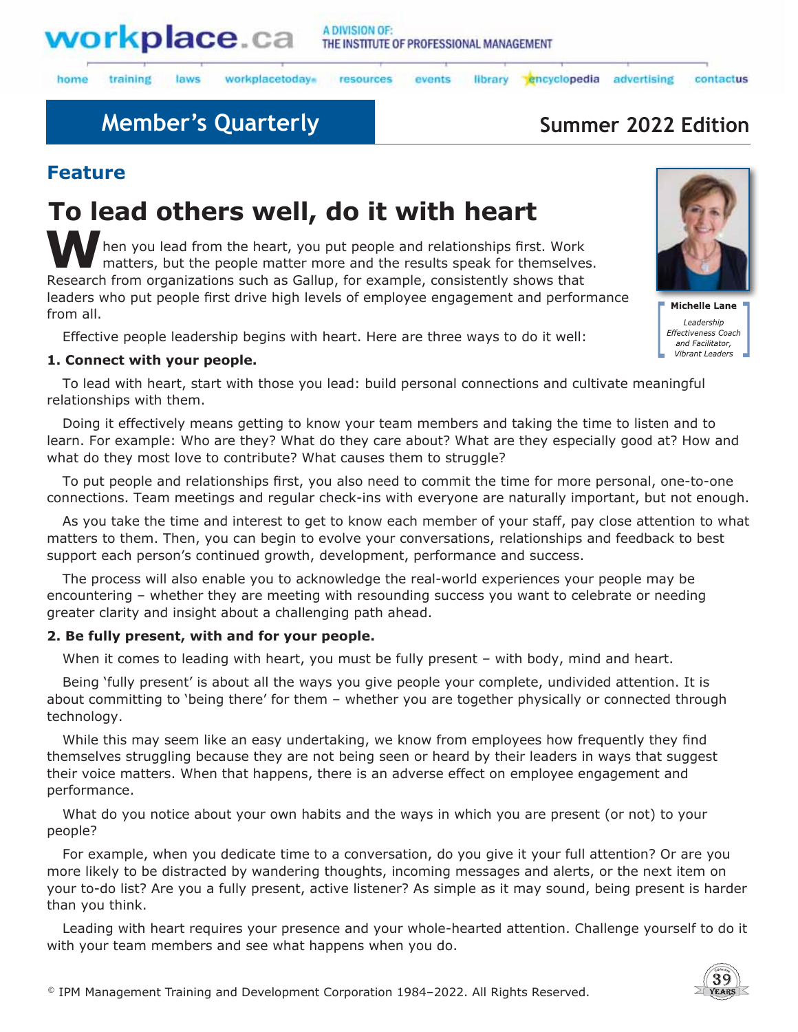

laws

#### A DIVISION OF: THE INSTITUTE OF PROFESSIONAL MANAGEMENT

home training workplacetodays

#### library encyclopedia resources events

**Member's Quarterly <b>Summer 2022 Edition** Summer 2022 Edition

advertising

## **Feature**

# **To lead others well, do it with heart**

**M** hen you lead from the heart, you put people and relationships first. Work matters, but the people matter more and the results speak for themselves. Research from organizations such as Gallup, for example, consistently shows that leaders who put people first drive high levels of employee engagement and performance from all.

Effective people leadership begins with heart. Here are three ways to do it well:

### **1. Connect with your people.**

To lead with heart, start with those you lead: build personal connections and cultivate meaningful relationships with them.

Doing it effectively means getting to know your team members and taking the time to listen and to learn. For example: Who are they? What do they care about? What are they especially good at? How and what do they most love to contribute? What causes them to struggle?

To put people and relationships first, you also need to commit the time for more personal, one-to-one connections. Team meetings and regular check-ins with everyone are naturally important, but not enough.

As you take the time and interest to get to know each member of your staff, pay close attention to what matters to them. Then, you can begin to evolve your conversations, relationships and feedback to best support each person's continued growth, development, performance and success.

The process will also enable you to acknowledge the real-world experiences your people may be encountering – whether they are meeting with resounding success you want to celebrate or needing greater clarity and insight about a challenging path ahead.

### **2. Be fully present, with and for your people.**

When it comes to leading with heart, you must be fully present – with body, mind and heart.

Being 'fully present' is about all the ways you give people your complete, undivided attention. It is about committing to 'being there' for them – whether you are together physically or connected through technology.

While this may seem like an easy undertaking, we know from employees how frequently they find themselves struggling because they are not being seen or heard by their leaders in ways that suggest their voice matters. When that happens, there is an adverse effect on employee engagement and performance.

What do you notice about your own habits and the ways in which you are present (or not) to your people?

For example, when you dedicate time to a conversation, do you give it your full attention? Or are you more likely to be distracted by wandering thoughts, incoming messages and alerts, or the next item on your to-do list? Are you a fully present, active listener? As simple as it may sound, being present is harder than you think.

Leading with heart requires your presence and your whole-hearted attention. Challenge yourself to do it with your team members and see what happens when you do.



contactus

**Michelle Lane** Leadership Effectiveness Coach and Facilitator, Vibrant Leaders